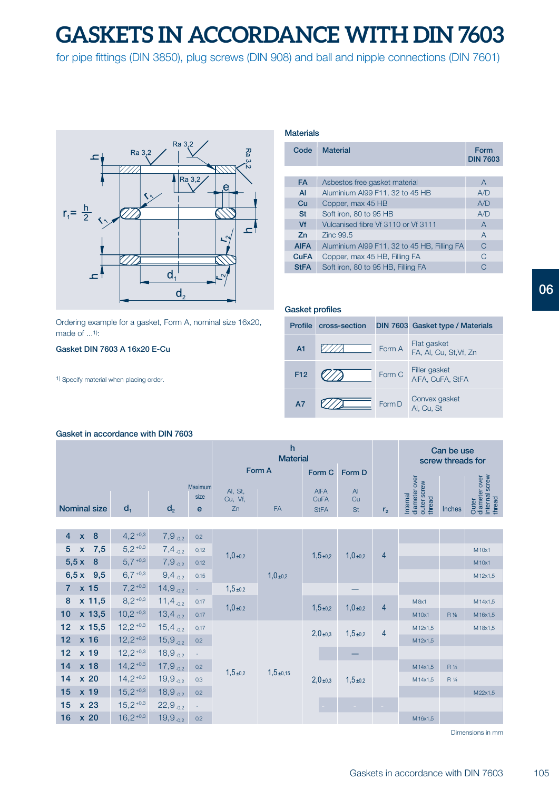# **GASKETS IN ACCORDANCE WITH DIN 7603**

for pipe fittings (DIN 3850), plug screws (DIN 908) and ball and nipple connections (DIN 7601)



**Profile cross-section DIN 803 Cross-section Crotering example for a gasket, Form A, nominal size 16x20,** made of ...1):

# **Gasket DIN 7603 A 16x20 E-Cu**

1) Specify material when placing order.

# **Materials**

| Code        | <b>Material</b>                             | Form<br><b>DIN 7603</b> |
|-------------|---------------------------------------------|-------------------------|
|             |                                             |                         |
| <b>FA</b>   | Asbestos free gasket material               | A                       |
| AI          | Aluminium AI99 F11, 32 to 45 HB             | A/D                     |
| Cu          | Copper, max 45 HB                           | A/D                     |
| <b>St</b>   | Soft iron, 80 to 95 HB                      | A/D                     |
| Vf          | Vulcanised fibre Vf 3110 or Vf 3111         | $\overline{A}$          |
| Zn          | 7inc 99.5                                   | $\overline{A}$          |
| <b>AIFA</b> | Aluminium AI99 F11, 32 to 45 HB, Filling FA | C                       |
| <b>CuFA</b> | Copper, max 45 HB, Filling FA               | C                       |
| <b>StFA</b> | Soft iron, 80 to 95 HB, Filling FA          |                         |

| <b>Gasket profiles</b> |               |        |                                       |  |  |  |  |  |  |  |  |
|------------------------|---------------|--------|---------------------------------------|--|--|--|--|--|--|--|--|
| <b>Profile</b>         | cross-section |        | DIN 7603 Gasket type / Materials      |  |  |  |  |  |  |  |  |
| A <sub>1</sub>         |               | Form A | Flat gasket<br>FA, AI, Cu, St, Vf, Zn |  |  |  |  |  |  |  |  |
| F <sub>12</sub>        |               | Form C | Filler gasket<br>AIFA, CuFA, StFA     |  |  |  |  |  |  |  |  |
| A7                     |               | Form D | Convex gasket<br>Al. Cu. St           |  |  |  |  |  |  |  |  |

#### **Gasket in accordance with DIN 7603**

|                     |    |                | <b>Material</b> |                    |           |                            |                      | Can be use<br>screw threads for |                     |        |         |
|---------------------|----|----------------|-----------------|--------------------|-----------|----------------------------|----------------------|---------------------------------|---------------------|--------|---------|
|                     |    |                |                 |                    | Form A    | Form C                     | Form D               |                                 | ក                   |        | ō       |
|                     |    |                | Maximum<br>size | Al, St,<br>Cu, Vf, |           | <b>AIFA</b><br><b>CuFA</b> | $\overline{A}$<br>Cu |                                 | $\overline{\sigma}$ |        | மு<br>ō |
| <b>Nominal size</b> | α, | d <sub>2</sub> | e               | Zn                 | <b>FA</b> | <b>StFA</b>                | <b>St</b>            | r,                              | ഇ<br>≈              | Inches |         |

|                | $4 \times 8$     | $4,2^{+0,3}$  | $7,9$ <sub>-0,2</sub>  | 0.2  | 1,0,10,2  | 1,0,10,2   | $1,5+0.2$ | $1,0_{\pm 0,2}$ | $\overline{4}$ |         |       |         |
|----------------|------------------|---------------|------------------------|------|-----------|------------|-----------|-----------------|----------------|---------|-------|---------|
| 5 <sup>1</sup> | $x$ 7,5          | $5.2^{+0.3}$  | $7,4$ <sub>-0,2</sub>  | 0,12 |           |            |           |                 |                |         |       | M10x1   |
|                | $5,5x$ 8         | $5,7 + 0.3$   | $7,9$ <sub>-0,2</sub>  | 0,12 |           |            |           |                 |                |         |       | M10x1   |
|                | $6,5x$ 9,5       | $6,7 + 0.3$   | $9,4$ <sub>-0,2</sub>  | 0,15 |           |            |           |                 |                |         |       | M12x1,5 |
|                | $7 \times 15$    | $7,2^{+0,3}$  | $14,9$ <sub>-0,2</sub> |      | $1,5+0,2$ |            |           |                 |                |         |       |         |
|                | 8 x 11,5         | $8,2^{+0,3}$  | $11,4$ <sub>-0.2</sub> | 0,17 | 1,0,10,2  |            | $1,5+0,2$ | 1,0,10,2        | $\overline{4}$ | M8x1    |       | M14x1,5 |
|                | $10 \times 13,5$ | $10,2 + 0.3$  | $13,4_{-0,2}$          | 0,17 |           |            |           |                 |                | M10x1   | R %   | M16x1,5 |
|                | $12 \times 15,5$ | $12,2 + 0.3$  | $15,4$ <sub>-0.2</sub> | 0,17 |           | $1,5+0,15$ | 2,0,10,3  | $1,5+0,2$       | $\overline{4}$ | M12x1,5 |       | M18x1,5 |
|                | $12 \times 16$   | $12,2^{+0,3}$ | $15,9$ <sub>-0.2</sub> | 0,2  |           |            |           |                 |                | M12x1,5 |       |         |
|                | $12 \times 19$   | $12,2^{+0,3}$ | $18,9$ <sub>-0,2</sub> |      |           |            |           |                 |                |         |       |         |
|                | $14 \times 18$   | $14,2^{+0,3}$ | $17,9$ <sub>-0.2</sub> | 0,2  | $1,5+0,2$ |            | 2,0,10,3  | $1,5+0,2$       |                | M14x1,5 | R 1/4 |         |
|                | $14 \times 20$   | $14,2^{+0,3}$ | $19,9_{-0.2}$          | 0.3  |           |            |           |                 |                | M14x1,5 | R 1/4 |         |
|                | $15 \times 19$   | $15,2^{+0,3}$ | $18,9_{-0,2}$          | 0,2  |           |            |           |                 |                |         |       | M22x1,5 |
|                | $15 \times 23$   | $15,2^{+0,3}$ | $22,9_{-0,2}$          |      |           |            |           | $\sim$          |                |         |       |         |
|                | 16 x 20          | $16,2^{+0,3}$ | $19,9_{-0,2}$          | 0.2  |           |            |           |                 |                | M16x1,5 |       |         |
|                |                  |               |                        |      |           |            |           |                 |                |         |       |         |

Dimensions in mm